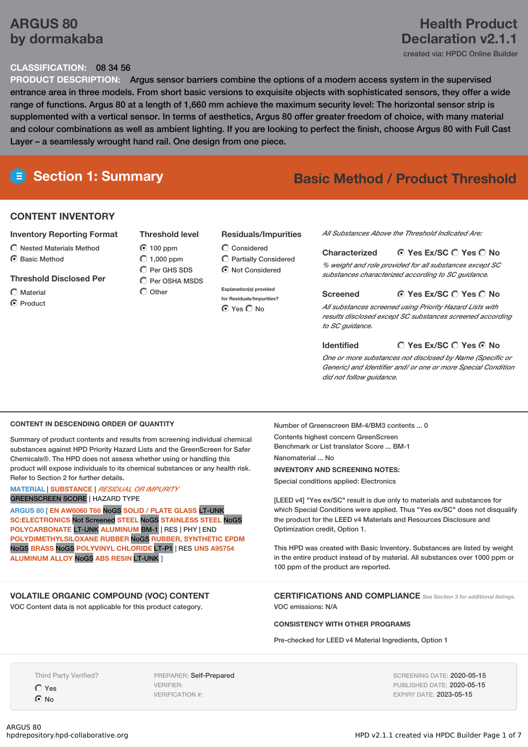# **ARGUS 80 by dormakaba**

# **Health Product Declaration v2.1.1**

created via: HPDC Online Builder

### **CLASSIFICATION:** 08 34 56

**PRODUCT DESCRIPTION:** Argus sensor barriers combine the options of a modern access system in the supervised entrance area in three models. From short basic versions to exquisite objects with sophisticated sensors, they offer a wide range of functions. Argus 80 at a length of 1,660 mm achieve the maximum security level: The horizontal sensor strip is supplemented with a vertical sensor. In terms of aesthetics, Argus 80 offer greater freedom of choice, with many material and colour combinations as well as ambient lighting. If you are looking to perfect the finish, choose Argus 80 with Full Cast Layer – a seamlessly wrought hand rail. One design from one piece.

# **Section 1: Summary Basic Method / Product Threshold**

#### **CONTENT INVENTORY**

#### **Inventory Reporting Format**

- $\bigcirc$  Nested Materials Method
- C Basic Method

#### **Threshold Disclosed Per**

Material C Product

- **Threshold level** 100 ppm  $O$  1,000 ppm C Per GHS SDS  $\bigcap$  Per OSHA MSDS
- $\bigcap$  Other

#### **Residuals/Impurities**

Considered Partially Considered  $\odot$  Not Considered

**Explanation(s) provided for Residuals/Impurities?** ⊙ Yes O No

*All Substances Above the Threshold Indicated Are:*

#### **Yes Ex/SC Yes No Characterized**

*% weight and role provided for all substances except SC substances characterized according to SC guidance.*

#### **Screened**

#### **Yes Ex/SC Yes No**

*All substances screened using Priority Hazard Lists with results disclosed except SC substances screened according to SC guidance.*

#### **Identified**

**Yes Ex/SC Yes No**

*One or more substances not disclosed by Name (Specific or Generic) and Identifier and/ or one or more Special Condition did not follow guidance.*

#### **CONTENT IN DESCENDING ORDER OF QUANTITY**

Summary of product contents and results from screening individual chemical substances against HPD Priority Hazard Lists and the GreenScreen for Safer Chemicals®. The HPD does not assess whether using or handling this product will expose individuals to its chemical substances or any health risk. Refer to Section 2 for further details.

#### **MATERIAL** | **SUBSTANCE** | *RESIDUAL OR IMPURITY* GREENSCREEN SCORE | HAZARD TYPE

**ARGUS 80 [ EN AW6060 T66** NoGS **SOLID / PLATE GLASS** LT-UNK **SC:ELECTRONICS** Not Screened **STEEL** NoGS **STAINLESS STEEL** NoGS **POLYCARBONATE** LT-UNK **ALUMINUM** BM-1 | RES | PHY | END **POLYDIMETHYLSILOXANE RUBBER** NoGS **RUBBER, SYNTHETIC EPDM** NoGS **BRASS** NoGS **POLYVINYL CHLORIDE** LT-P1 | RES **UNS A95754 ALUMINUM ALLOY** NoGS **ABS RESIN** LT-UNK **]**

#### **VOLATILE ORGANIC COMPOUND (VOC) CONTENT**

VOC Content data is not applicable for this product category.

Number of Greenscreen BM-4/BM3 contents ... 0

Contents highest concern GreenScreen Benchmark or List translator Score ... BM-1 Nanomaterial ... No

#### **INVENTORY AND SCREENING NOTES:**

Special conditions applied: Electronics

[LEED v4] "Yes ex/SC" result is due only to materials and substances for which Special Conditions were applied. Thus "Yes ex/SC" does not disqualify the product for the LEED v4 Materials and Resources Disclosure and Optimization credit, Option 1.

This HPD was created with Basic Inventory. Substances are listed by weight in the entire product instead of by material. All substances over 1000 ppm or 100 ppm of the product are reported.

**CERTIFICATIONS AND COMPLIANCE** *See Section <sup>3</sup> for additional listings.* VOC emissions: N/A

**CONSISTENCY WITH OTHER PROGRAMS**

Pre-checked for LEED v4 Material Ingredients, Option 1

Third Party Verified?

 $O$  Yes  $\odot$  No

PREPARER: Self-Prepared VERIFIER: VERIFICATION #:

SCREENING DATE: 2020-05-15 PUBLISHED DATE: 2020-05-15 EXPIRY DATE: 2023-05-15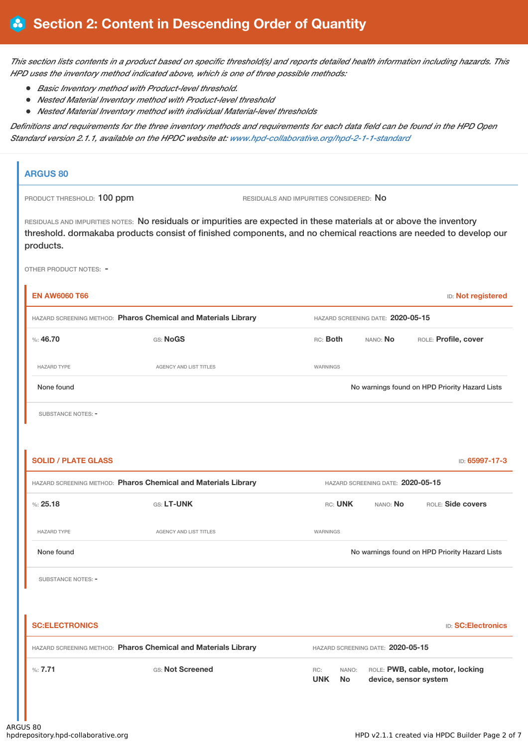This section lists contents in a product based on specific threshold(s) and reports detailed health information including hazards. This *HPD uses the inventory method indicated above, which is one of three possible methods:*

- *Basic Inventory method with Product-level threshold.*
- *Nested Material Inventory method with Product-level threshold*
- *Nested Material Inventory method with individual Material-level thresholds*

Definitions and requirements for the three inventory methods and requirements for each data field can be found in the HPD Open *Standard version 2.1.1, available on the HPDC website at: [www.hpd-collaborative.org/hpd-2-1-1-standard](https://www.hpd-collaborative.org/hpd-2-1-1-standard)*

# **ARGUS 80** PRODUCT THRESHOLD: 100 ppm RESIDUALS AND IMPURITIES CONSIDERED: No RESIDUALS AND IMPURITIES NOTES: No residuals or impurities are expected in these materials at or above the inventory threshold. dormakaba products consist of finished components, and no chemical reactions are needed to develop our products. OTHER PRODUCT NOTES: - **EN AW6060 T66** ID: **Not registered** HAZARD SCREENING METHOD: **Pharos Chemical and Materials Library** HAZARD SCREENING DATE: **2020-05-15** %: **46.70** GS: **NoGS** RC: **Both** NANO: **No** ROLE: **Profile, cover** HAZARD TYPE **AGENCY AND LIST TITLES** WARNINGS None found Nowarnings found on HPD Priority Hazard Lists SUBSTANCE NOTES: -**SOLID / PLATE GLASS** ID: **65997-17-3** HAZARD SCREENING METHOD: **Pharos Chemical and Materials Library** HAZARD SCREENING DATE: **2020-05-15** %: **25.18** GS: **LT-UNK** RC: **UNK** NANO: **No** ROLE: **Side covers** HAZARD TYPE **AGENCY AND LIST TITLES AGENCY AND LIST TITLES** None found Nowarnings found on HPD Priority Hazard Lists SUBSTANCE NOTES: -**SC:ELECTRONICS** ID: **SC:Electronics** HAZARD SCREENING METHOD: **Pharos Chemical and Materials Library** HAZARD SCREENING DATE: **2020-05-15** %: **7.71** GS: **Not Screened** RC: **UNK** NANO: ROLE: **PWB, cable, motor, locking No device, sensor system**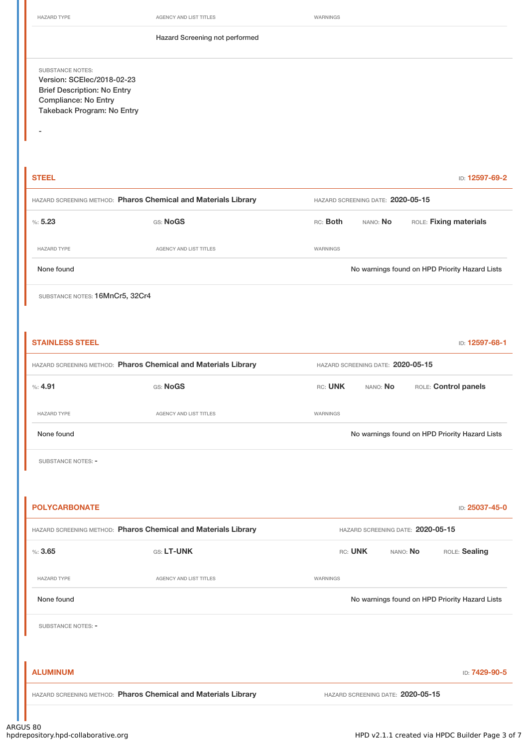-

HAZARD TYPE **AGENCY AND LIST TITLES** WARNINGS

Hazard Screening not performed

SUBSTANCE NOTES: Version: SCElec/2018-02-23 Brief Description: No Entry Compliance: No Entry Takeback Program: No Entry

**STEEL** ID: **12597-69-2** HAZARD SCREENING METHOD: **Pharos Chemical and Materials Library** HAZARD SCREENING DATE: **2020-05-15** %: **5.23** GS: **NoGS** RC: **Both** NANO: **No** ROLE: **Fixing materials** HAZARD TYPE AGENCY AND LIST TITLES WARNINGS None found No warnings found on HPD Priority Hazard Lists

SUBSTANCE NOTES: 16MnCr5, 32Cr4

| <b>STAINLESS STEEL</b>                                         |                                                                |                                   |                                   |          | ID: 12597-68-1                                 |  |
|----------------------------------------------------------------|----------------------------------------------------------------|-----------------------------------|-----------------------------------|----------|------------------------------------------------|--|
| HAZARD SCREENING METHOD: Pharos Chemical and Materials Library |                                                                |                                   | HAZARD SCREENING DATE: 2020-05-15 |          |                                                |  |
| %: 4.91                                                        | GS: NoGS                                                       | RC: UNK                           | NANO: No                          |          | ROLE: Control panels                           |  |
| <b>HAZARD TYPE</b>                                             | AGENCY AND LIST TITLES                                         | WARNINGS                          |                                   |          |                                                |  |
| None found                                                     |                                                                |                                   |                                   |          | No warnings found on HPD Priority Hazard Lists |  |
| SUBSTANCE NOTES: -                                             |                                                                |                                   |                                   |          |                                                |  |
|                                                                |                                                                |                                   |                                   |          |                                                |  |
| <b>POLYCARBONATE</b>                                           |                                                                |                                   |                                   |          | ID: 25037-45-0                                 |  |
| HAZARD SCREENING METHOD: Pharos Chemical and Materials Library |                                                                | HAZARD SCREENING DATE: 2020-05-15 |                                   |          |                                                |  |
| %3.65                                                          | GS: LT-UNK                                                     | RC: UNK                           |                                   | NANO: No | ROLE: Sealing                                  |  |
| <b>HAZARD TYPE</b>                                             | AGENCY AND LIST TITLES                                         | WARNINGS                          |                                   |          |                                                |  |
| None found                                                     |                                                                |                                   |                                   |          | No warnings found on HPD Priority Hazard Lists |  |
| SUBSTANCE NOTES: -                                             |                                                                |                                   |                                   |          |                                                |  |
|                                                                |                                                                |                                   |                                   |          |                                                |  |
| <b>ALUMINUM</b>                                                |                                                                |                                   |                                   |          | ID: 7429-90-5                                  |  |
|                                                                | HAZARD SCREENING METHOD: Pharos Chemical and Materials Library |                                   | HAZARD SCREENING DATE: 2020-05-15 |          |                                                |  |
|                                                                |                                                                |                                   |                                   |          |                                                |  |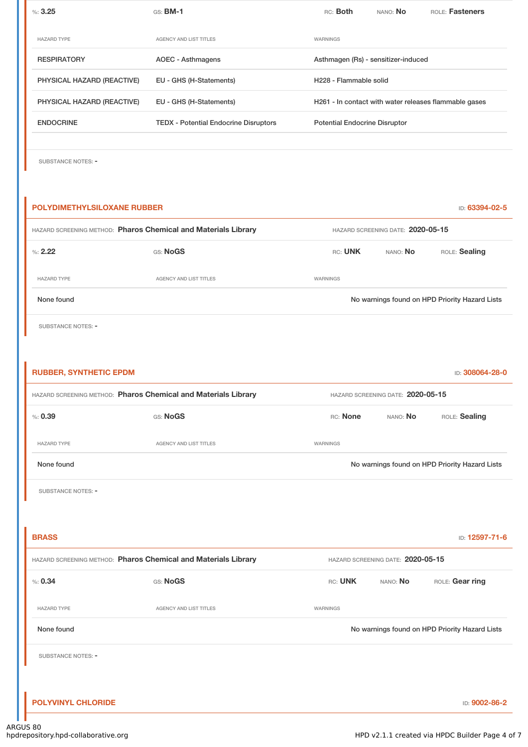| %3.25                      | $GS:$ BM-1                                   | RC: Both                             | NANO: <b>No</b> | <b>ROLE: Fasteners</b>                                |
|----------------------------|----------------------------------------------|--------------------------------------|-----------------|-------------------------------------------------------|
|                            |                                              |                                      |                 |                                                       |
| <b>HAZARD TYPE</b>         | <b>AGENCY AND LIST TITLES</b>                | WARNINGS                             |                 |                                                       |
| <b>RESPIRATORY</b>         | AOEC - Asthmagens                            | Asthmagen (Rs) - sensitizer-induced  |                 |                                                       |
| PHYSICAL HAZARD (REACTIVE) | EU - GHS (H-Statements)                      | H <sub>228</sub> - Flammable solid   |                 |                                                       |
| PHYSICAL HAZARD (REACTIVE) | EU - GHS (H-Statements)                      |                                      |                 | H261 - In contact with water releases flammable gases |
| <b>ENDOCRINE</b>           | <b>TEDX</b> - Potential Endocrine Disruptors | <b>Potential Endocrine Disruptor</b> |                 |                                                       |
|                            |                                              |                                      |                 |                                                       |

SUBSTANCE NOTES: -

# **POLYDIMETHYLSILOXANE RUBBER** ID: **63394-02-5** HAZARD SCREENING METHOD: **Pharos Chemical and Materials Library** HAZARD SCREENING DATE: **2020-05-15** %: **2.22** GS: **NoGS** RC: **UNK** NANO: **No** ROLE: **Sealing** HAZARD TYPE **AGENCY AND LIST TITLES** WARNINGS None found Nowarnings found on HPD Priority Hazard Lists SUBSTANCE NOTES: -**RUBBER, SYNTHETIC EPDM** ID: **308064-28-0** HAZARD SCREENING METHOD: **Pharos Chemical and Materials Library** HAZARD SCREENING DATE: **2020-05-15** %: **0.39** GS: **NoGS** RC: **None** NANO: **No** ROLE: **Sealing** HAZARD TYPE **AGENCY AND LIST TITLES WARNINGS** None found Nowarnings found on HPD Priority Hazard Lists SUBSTANCE NOTES: -**BRASS** ID: **12597-71-6** HAZARD SCREENING METHOD: **Pharos Chemical and Materials Library** HAZARD SCREENING DATE: **2020-05-15** %: 0.34 GS: Nogs CS: Nogs CS: Nogs CS: Nogs CS: Nogs CS: Nogs CS: UNK NANO: No HAZARD TYPE **AGENCY AND LIST TITLES AGENCY AND LIST TITLES** None found Nowarnings found on HPD Priority Hazard Lists SUBSTANCE NOTES: -

**POLYVINYL CHLORIDE** ID: **9002-86-2**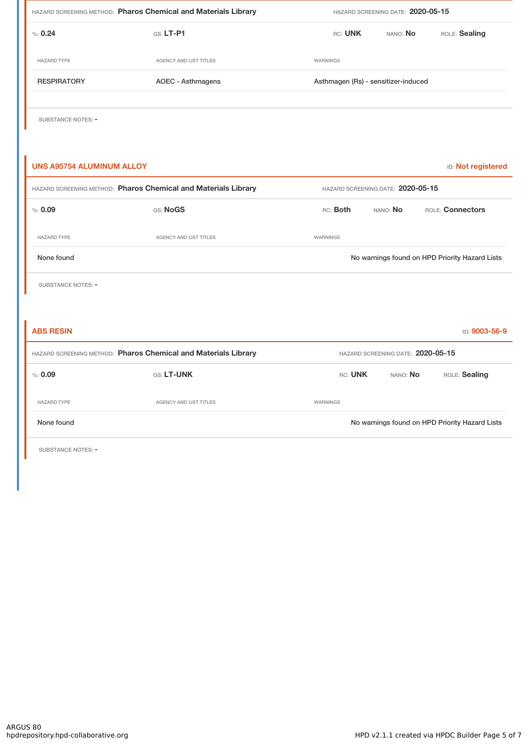| HAZARD SCREENING METHOD: Pharos Chemical and Materials Library |                        | HAZARD SCREENING DATE: 2020-05-15   |          |                                                |  |
|----------------------------------------------------------------|------------------------|-------------------------------------|----------|------------------------------------------------|--|
| % 0.24                                                         | GS: LT-P1              | RC: UNK                             | NANO: No | ROLE: Sealing                                  |  |
| <b>HAZARD TYPE</b>                                             | AGENCY AND LIST TITLES | WARNINGS                            |          |                                                |  |
| <b>RESPIRATORY</b>                                             | AOEC - Asthmagens      | Asthmagen (Rs) - sensitizer-induced |          |                                                |  |
| SUBSTANCE NOTES: -                                             |                        |                                     |          |                                                |  |
| <b>UNS A95754 ALUMINUM ALLOY</b>                               |                        |                                     |          | ID: Not registered                             |  |
| HAZARD SCREENING METHOD: Pharos Chemical and Materials Library |                        | HAZARD SCREENING DATE: 2020-05-15   |          |                                                |  |
| % : 0.09                                                       | GS: NoGS               | RC: Both                            | NANO: No | ROLE: Connectors                               |  |
| <b>HAZARD TYPE</b>                                             | AGENCY AND LIST TITLES | <b>WARNINGS</b>                     |          |                                                |  |
| None found                                                     |                        |                                     |          | No warnings found on HPD Priority Hazard Lists |  |
| <b>SUBSTANCE NOTES: -</b>                                      |                        |                                     |          |                                                |  |
|                                                                |                        |                                     |          |                                                |  |
| <b>ABS RESIN</b>                                               |                        |                                     |          | ID: 9003-56-9                                  |  |
| HAZARD SCREENING METHOD: Pharos Chemical and Materials Library |                        | HAZARD SCREENING DATE: 2020-05-15   |          |                                                |  |
| % : 0.09                                                       | GS: LT-UNK             | RC: UNK                             | NANO: No | ROLE: Sealing                                  |  |
| <b>HAZARD TYPE</b>                                             | AGENCY AND LIST TITLES | WARNINGS                            |          |                                                |  |
| None found                                                     |                        |                                     |          | No warnings found on HPD Priority Hazard Lists |  |

SUBSTANCE NOTES: -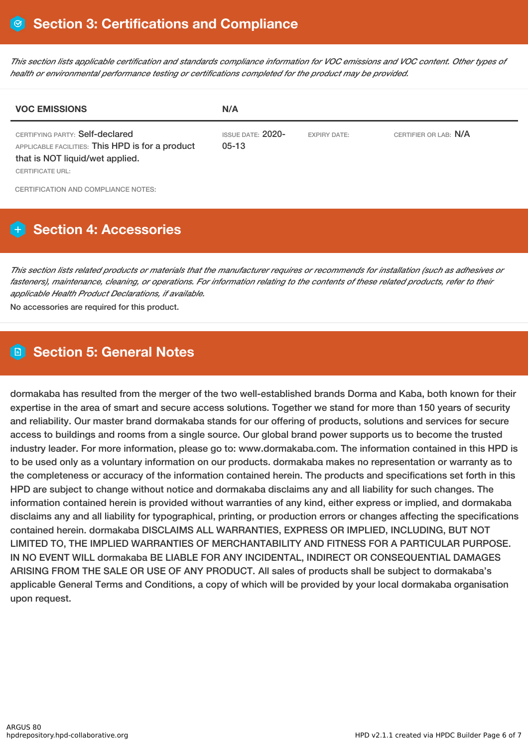This section lists applicable certification and standards compliance information for VOC emissions and VOC content. Other types of *health or environmental performance testing or certifications completed for the product may be provided.*

| <b>VOC EMISSIONS</b>                                                                                                                       | N/A                                 |                     |                       |
|--------------------------------------------------------------------------------------------------------------------------------------------|-------------------------------------|---------------------|-----------------------|
| CERTIFYING PARTY: Self-declared<br>APPLICABLE FACILITIES: This HPD is for a product<br>that is NOT liquid/wet applied.<br>CERTIFICATE URL: | <b>ISSUE DATE: 2020-</b><br>$05-13$ | <b>EXPIRY DATE:</b> | CERTIFIER OR LAB: N/A |
| CERTIFICATION AND COMPLIANCE NOTES:                                                                                                        |                                     |                     |                       |

# **H** Section 4: Accessories

This section lists related products or materials that the manufacturer requires or recommends for installation (such as adhesives or fasteners), maintenance, cleaning, or operations. For information relating to the contents of these related products, refer to their *applicable Health Product Declarations, if available.*

No accessories are required for this product.

## **Section 5: General Notes**

dormakaba has resulted from the merger of the two well-established brands Dorma and Kaba, both known for their expertise in the area of smart and secure access solutions. Together we stand for more than 150 years of security and reliability. Our master brand dormakaba stands for our offering of products, solutions and services for secure access to buildings and rooms from a single source. Our global brand power supports us to become the trusted industry leader. For more information, please go to: www.dormakaba.com. The information contained in this HPD is to be used only as a voluntary information on our products. dormakaba makes no representation or warranty as to the completeness or accuracy of the information contained herein. The products and specifications set forth in this HPD are subject to change without notice and dormakaba disclaims any and all liability for such changes. The information contained herein is provided without warranties of any kind, either express or implied, and dormakaba disclaims any and all liability for typographical, printing, or production errors or changes affecting the specifications contained herein. dormakaba DISCLAIMS ALL WARRANTIES, EXPRESS OR IMPLIED, INCLUDING, BUT NOT LIMITED TO, THE IMPLIED WARRANTIES OF MERCHANTABILITY AND FITNESS FOR A PARTICULAR PURPOSE. IN NO EVENT WILL dormakaba BE LIABLE FOR ANY INCIDENTAL, INDIRECT OR CONSEQUENTIAL DAMAGES ARISING FROM THE SALE OR USE OF ANY PRODUCT. All sales of products shall be subject to dormakaba's applicable General Terms and Conditions, a copy of which will be provided by your local dormakaba organisation upon request.